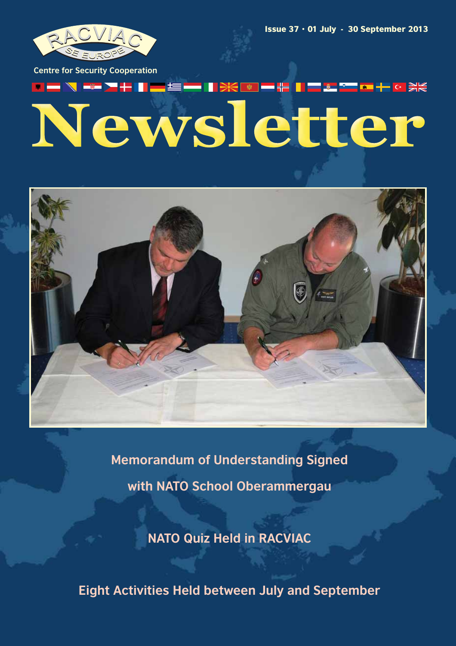

Issue  $37 \cdot 01$  July - 30 September 2013

**Centre for Security Cooperation**

# <del>▓▏▆▕</del>▙▌▊▐▆▏▓▊<sup>▚▅▊</sup>▆▋╋▖▓▕▓▓ Newsletter



**Memorandum of Understanding Signed with NATO School Oberammergau**

**NATO Quiz Held in RACVIAC**

**Eight Activities Held between July and September**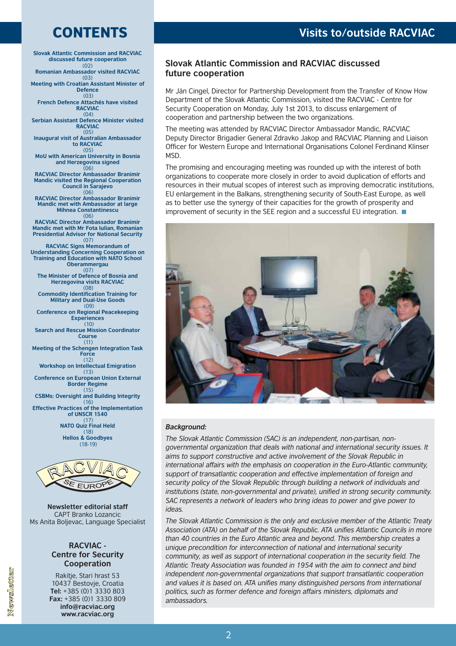### CONTENTS

**Slovak Atlantic Commission and RACVIAC discussed future cooperation Romanian Ambassador visited RACVIAC Meeting with Croatian Assistant Minister of Defence French Defence Attachés have visited RACVIAC Serbian Assistant Defence Minister visited RACVIAC Inaugural visit of Australian Ambassador to RACVIAC MoU with American University in Bosnia and Herzegovina signed RACVIAC Director Ambassador Branimir Mandic visited the Regional Cooperation Council in Sarajevo RACVIAC Director Ambassador Branimir Mandic met with Ambassador at large Mihnea Constantinescu RACVIAC Director Ambassador Branimir Mandic met with Mr Fota Iulian, Romanian Presidential Advisor for National Security RACVIAC Signs Memorandum of Understanding Concerning Cooperation on Training and Education with NATO School Oberammergau The Minister of Defence of Bosnia and Herzegovina visits RACVIAC Commodity Identification Training for Military and Dual-Use Goods Conference on Regional Peacekeeping Experiences Search and Rescue Mission Coordinator Course Meeting of the Schengen Integration Task Force Workshop on Intellectual Emigration Conference on European Union External Border Regime CSBMs: Oversight and Building Integrity Effective Practices of the Implementation of UNSCR 1540 NATO Quiz Final Held Hellos & Goodbyes**  $(02)$ (03)  $(03)$  $(04)$  $(0.5)$ (05) (06) (06)  $(06)$ (07)  $(07)$  $(08)$ (09)  $(10)$ (11)  $(12)$  $(13)$ (15) (16) (17) (18) (18-19)



**Newsletter editorial staff** CAPT Branko Lozancic Ms Anita Boljevac, Language Specialist

#### **RACVIAC - Centre for Security Cooperation**

Rakitje, Stari hrast 53 10437 Bestovje, Croatia +385 (0)1 3330 803 **Tel:** +385 (0)1 3330 809 **Fax: info¹racviac.org www.racviac.org**

### **Visits to/outside RACVIAC**

### **Slovak Atlantic Commission and RACVIAC discussed future cooperation**

Mr Ján Cingel, Director for Partnership Development from the Transfer of Know How Department of the Slovak Atlantic Commission, visited the RACVIAC - Centre for Security Cooperation on Monday, July 1st 2013, to discuss enlargement of cooperation and partnership between the two organizations.

The meeting was attended by RACVIAC Director Ambassador Mandic, RACVIAC Deputy Director Brigadier General Zdravko Jakop and RACVIAC Planning and Liaison Officer for Western Europe and International Organisations Colonel Ferdinand Klinser MSD.

The promising and encouraging meeting was rounded up with the interest of both organizations to cooperate more closely in order to avoid duplication of efforts and resources in their mutual scopes of interest such as improving democratic institutions, EU enlargement in the Balkans, strengthening security of South-East Europe, as well as to better use the synergy of their capacities for the growth of prosperity and improvement of security in the SEE region and a successful EU integration.



#### *Background:*

*The Slovak Atlantic Commission (SAC) is an independent, non-partisan, nongovernmental organization that deals with national and international security issues. It aims to support constructive and active involvement of the Slovak Republic in international affairs with the emphasis on cooperation in the Euro-Atlantic community, support of transatlantic cooperation and effective implementation of foreign and security policy of the Slovak Republic through building a network of individuals and institutions (state, non-governmental and private), unified in strong security community. SAC represents a network of leaders who bring ideas to power and give power to ideas.*

*The Slovak Atlantic Commission is the only and exclusive member of the Atlantic Treaty Association (ATA) on behalf of the Slovak Republic. ATA unifies Atlantic Councils in more than 40 countries in the Euro Atlantic area and beyond. This membership creates a unique precondition for interconnection of national and international security community, as well as support of international cooperation in the security field. The Atlantic Treaty Association was founded in 1954 with the aim to connect and bind independent non-governmental organizations that support transatlantic cooperation and values it is based on. ATA unifies many distinguished persons from international politics, such as former defence and foreign affairs ministers, diplomats and ambassadors.*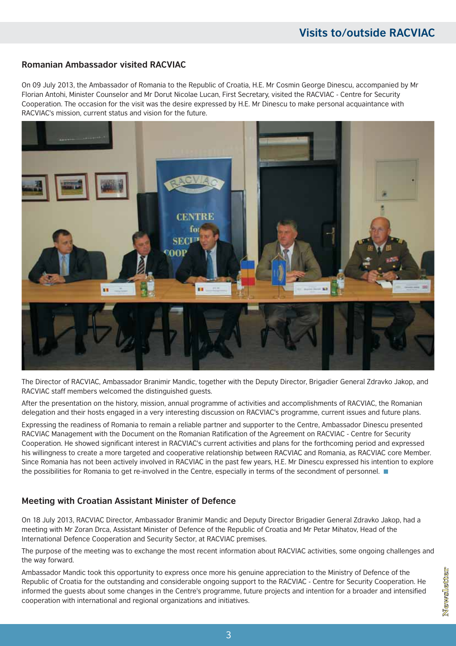### **Romanian Ambassador visited RACVIAC**

On 09 July 2013, the Ambassador of Romania to the Republic of Croatia, H.E. Mr Cosmin George Dinescu, accompanied by Mr Florian Antohi, Minister Counselor and Mr Dorut Nicolae Lucan, First Secretary, visited the RACVIAC - Centre for Security Cooperation. The occasion for the visit was the desire expressed by H.E. Mr Dinescu to make personal acquaintance with RACVIAC's mission, current status and vision for the future.



The Director of RACVIAC, Ambassador Branimir Mandic, together with the Deputy Director, Brigadier General Zdravko Jakop, and RACVIAC staff members welcomed the distinguished guests.

After the presentation on the history, mission, annual programme of activities and accomplishments of RACVIAC, the Romanian delegation and their hosts engaged in a very interesting discussion on RACVIAC's programme, current issues and future plans.

Expressing the readiness of Romania to remain a reliable partner and supporter to the Centre, Ambassador Dinescu presented RACVIAC Management with the Document on the Romanian Ratification of the Agreement on RACVIAC - Centre for Security Cooperation. He showed significant interest in RACVIAC's current activities and plans for the forthcoming period and expressed his willingness to create a more targeted and cooperative relationship between RACVIAC and Romania, as RACVIAC core Member. Since Romania has not been actively involved in RACVIAC in the past few years, H.E. Mr Dinescu expressed his intention to explore the possibilities for Romania to get re-involved in the Centre, especially in terms of the secondment of personnel.

### **Meeting with Croatian Assistant Minister of Defence**

On 18 July 2013, RACVIAC Director, Ambassador Branimir Mandic and Deputy Director Brigadier General Zdravko Jakop, had a meeting with Mr Zoran Drca, Assistant Minister of Defence of the Republic of Croatia and Mr Petar Mihatov, Head of the International Defence Cooperation and Security Sector, at RACVIAC premises.

The purpose of the meeting was to exchange the most recent information about RACVIAC activities, some ongoing challenges and the way forward.

Ambassador Mandic took this opportunity to express once more his genuine appreciation to the Ministry of Defence of the Republic of Croatia for the outstanding and considerable ongoing support to the RACVIAC - Centre for Security Cooperation. He informed the guests about some changes in the Centre's programme, future projects and intention for a broader and intensified cooperation with international and regional organizations and initiatives.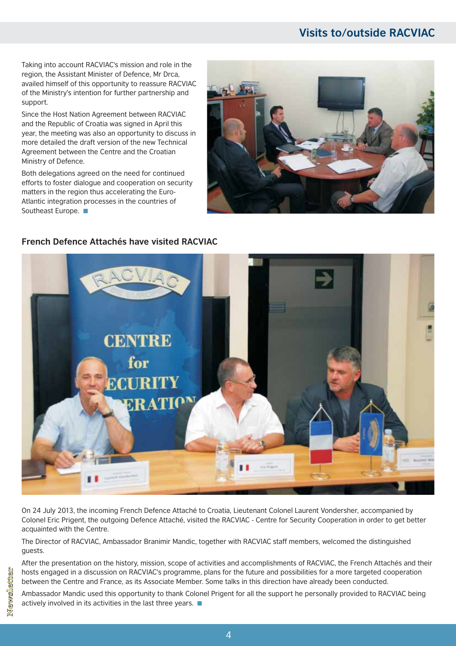### **Visits to/outside RACVIAC**

Taking into account RACVIAC's mission and role in the region, the Assistant Minister of Defence, Mr Drca, availed himself of this opportunity to reassure RACVIAC of the Ministry's intention for further partnership and support.

Since the Host Nation Agreement between RACVIAC and the Republic of Croatia was signed in April this year, the meeting was also an opportunity to discuss in more detailed the draft version of the new Technical Agreement between the Centre and the Croatian Ministry of Defence.

Both delegations agreed on the need for continued efforts to foster dialogue and cooperation on security matters in the region thus accelerating the Euro-Atlantic integration processes in the countries of Southeast Europe.



# **CENTRE** for ECHRITY **ERATION**

**French Defence Attachés have visited RACVIAC**

On 24 July 2013, the incoming French Defence Attaché to Croatia, Lieutenant Colonel Laurent Vondersher, accompanied by Colonel Eric Prigent, the outgoing Defence Attaché, visited the RACVIAC - Centre for Security Cooperation in order to get better acquainted with the Centre.

The Director of RACVIAC, Ambassador Branimir Mandic, together with RACVIAC staff members, welcomed the distinguished guests.

After the presentation on the history, mission, scope of activities and accomplishments of RACVIAC, the French Attachés and their hosts engaged in a discussion on RACVIAC's programme, plans for the future and possibilities for a more targeted cooperation between the Centre and France, as its Associate Member. Some talks in this direction have already been conducted.

Ambassador Mandic used this opportunity to thank Colonel Prigent for all the support he personally provided to RACVIAC being actively involved in its activities in the last three years.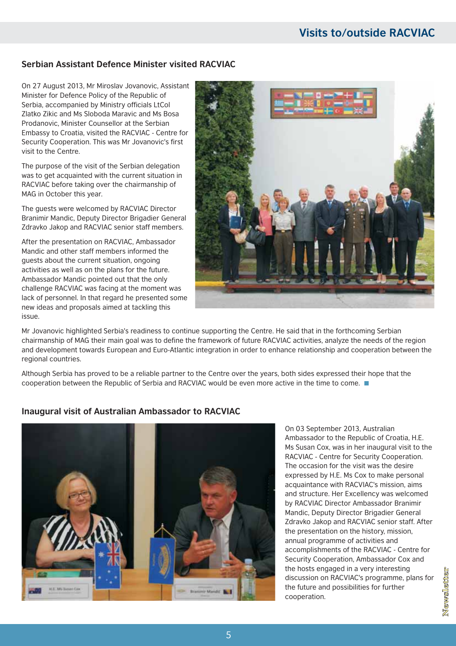### **Visits to/outside RACVIAC**

### **Serbian Assistant Defence Minister visited RACVIAC**

On 27 August 2013, Mr Miroslav Jovanovic, Assistant Minister for Defence Policy of the Republic of Serbia, accompanied by Ministry officials LtCol Zlatko Zikic and Ms Sloboda Maravic and Ms Bosa Prodanovic, Minister Counsellor at the Serbian Embassy to Croatia, visited the RACVIAC - Centre for Security Cooperation. This was Mr Jovanovic's first visit to the Centre.

The purpose of the visit of the Serbian delegation was to get acquainted with the current situation in RACVIAC before taking over the chairmanship of MAG in October this year.

The guests were welcomed by RACVIAC Director Branimir Mandic, Deputy Director Brigadier General Zdravko Jakop and RACVIAC senior staff members.

After the presentation on RACVIAC, Ambassador Mandic and other staff members informed the guests about the current situation, ongoing activities as well as on the plans for the future. Ambassador Mandic pointed out that the only challenge RACVIAC was facing at the moment was lack of personnel. In that regard he presented some new ideas and proposals aimed at tackling this issue.



Mr Jovanovic highlighted Serbia's readiness to continue supporting the Centre. He said that in the forthcoming Serbian chairmanship of MAG their main goal was to define the framework of future RACVIAC activities, analyze the needs of the region and development towards European and Euro-Atlantic integration in order to enhance relationship and cooperation between the regional countries.

Although Serbia has proved to be a reliable partner to the Centre over the years, both sides expressed their hope that the cooperation between the Republic of Serbia and RACVIAC would be even more active in the time to come.

### **Inaugural visit of Australian Ambassador to RACVIAC**



On 03 September 2013, Australian Ambassador to the Republic of Croatia, H.E. Ms Susan Cox, was in her inaugural visit to the RACVIAC - Centre for Security Cooperation. The occasion for the visit was the desire expressed by H.E. Ms Cox to make personal acquaintance with RACVIAC's mission, aims and structure. Her Excellency was welcomed by RACVIAC Director Ambassador Branimir Mandic, Deputy Director Brigadier General Zdravko Jakop and RACVIAC senior staff. After the presentation on the history, mission, annual programme of activities and accomplishments of the RACVIAC - Centre for Security Cooperation, Ambassador Cox and the hosts engaged in a very interesting discussion on RACVIAC's programme, plans for the future and possibilities for further cooperation.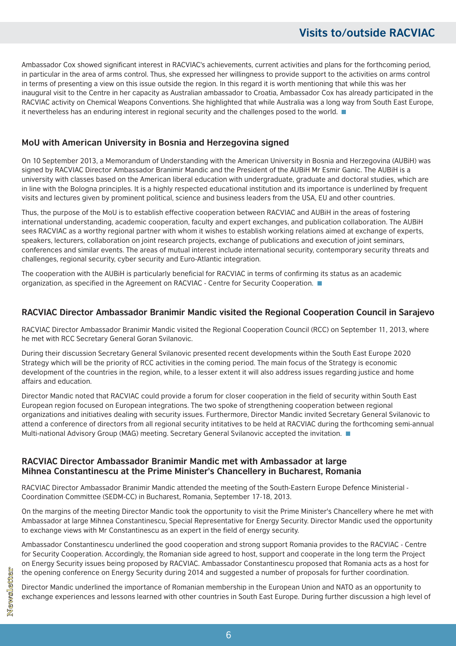Ambassador Cox showed significant interest in RACVIAC's achievements, current activities and plans for the forthcoming period, in particular in the area of arms control. Thus, she expressed her willingness to provide support to the activities on arms control in terms of presenting a view on this issue outside the region. In this regard it is worth mentioning that while this was her inaugural visit to the Centre in her capacity as Australian ambassador to Croatia, Ambassador Cox has already participated in the RACVIAC activity on Chemical Weapons Conventions. She highlighted that while Australia was a long way from South East Europe, it nevertheless has an enduring interest in regional security and the challenges posed to the world.

### **MoU with American University in Bosnia and Herzegovina signed**

On 10 September 2013, a Memorandum of Understanding with the American University in Bosnia and Herzegovina (AUBiH) was signed by RACVIAC Director Ambassador Branimir Mandic and the President of the AUBiH Mr Esmir Ganic. The AUBiH is a university with classes based on the American liberal education with undergraduate, graduate and doctoral studies, which are in line with the Bologna principles. It is a highly respected educational institution and its importance is underlined by frequent visits and lectures given by prominent political, science and business leaders from the USA, EU and other countries.

Thus, the purpose of the MoU is to establish effective cooperation between RACVIAC and AUBiH in the areas of fostering international understanding, academic cooperation, faculty and expert exchanges, and publication collaboration. The AUBiH sees RACVIAC as a worthy regional partner with whom it wishes to establish working relations aimed at exchange of experts, speakers, lecturers, collaboration on joint research projects, exchange of publications and execution of joint seminars, conferences and similar events. The areas of mutual interest include international security, contemporary security threats and challenges, regional security, cyber security and Euro-Atlantic integration.

The cooperation with the AUBiH is particularly beneficial for RACVIAC in terms of confirming its status as an academic organization, as specified in the Agreement on RACVIAC - Centre for Security Cooperation.  $\blacksquare$ 

### **RACVIAC Director Ambassador Branimir Mandic visited the Regional Cooperation Council in Sarajevo**

RACVIAC Director Ambassador Branimir Mandic visited the Regional Cooperation Council (RCC) on September 11, 2013, where he met with RCC Secretary General Goran Svilanovic.

During their discussion Secretary General Svilanovic presented recent developments within the South East Europe 2020 Strategy which will be the priority of RCC activities in the coming period. The main focus of the Strategy is economic development of the countries in the region, while, to a lesser extent it will also address issues regarding justice and home affairs and education.

Director Mandic noted that RACVIAC could provide a forum for closer cooperation in the field of security within South East European region focused on European integrations. The two spoke of strengthening cooperation between regional organizations and initiatives dealing with security issues. Furthermore, Director Mandic invited Secretary General Svilanovic to attend a conference of directors from all regional security intitatives to be held at RACVIAC during the forthcoming semi-annual Multi-national Advisory Group (MAG) meeting. Secretary General Svilanovic accepted the invitation.

### **RACVIAC Director Ambassador Branimir Mandic met with Ambassador at large Mihnea Constantinescu at the Prime Minister's Chancellery in Bucharest, Romania**

RACVIAC Director Ambassador Branimir Mandic attended the meeting of the South-Eastern Europe Defence Ministerial - Coordination Committee (SEDM-CC) in Bucharest, Romania, September 17-18, 2013.

On the margins of the meeting Director Mandic took the opportunity to visit the Prime Minister's Chancellery where he met with Ambassador at large Mihnea Constantinescu, Special Representative for Energy Security. Director Mandic used the opportunity to exchange views with Mr Constantinescu as an expert in the field of energy security.

Ambassador Constantinescu underlined the good cooperation and strong support Romania provides to the RACVIAC - Centre for Security Cooperation. Accordingly, the Romanian side agreed to host, support and cooperate in the long term the Project on Energy Security issues being proposed by RACVIAC. Ambassador Constantinescu proposed that Romania acts as a host for the opening conference on Energy Security during 2014 and suggested a number of proposals for further coordination.

Director Mandic underlined the importance of Romanian membership in the European Union and NATO as an opportunity to exchange experiences and lessons learned with other countries in South East Europe. During further discussion a high level of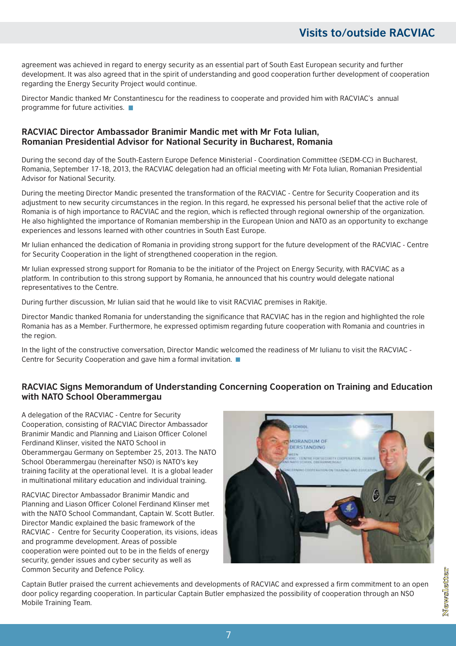agreement was achieved in regard to energy security as an essential part of South East European security and further development. It was also agreed that in the spirit of understanding and good cooperation further development of cooperation regarding the Energy Security Project would continue.

Director Mandic thanked Mr Constantinescu for the readiness to cooperate and provided him with RACVIAC's annual programme for future activities.  $\blacksquare$ 

### **RACVIAC Director Ambassador Branimir Mandic met with Mr Fota Iulian, Romanian Presidential Advisor for National Security in Bucharest, Romania**

During the second day of the South-Eastern Europe Defence Ministerial - Coordination Committee (SEDM-CC) in Bucharest, Romania, September 17-18, 2013, the RACVIAC delegation had an official meeting with Mr Fota Iulian, Romanian Presidential Advisor for National Security.

During the meeting Director Mandic presented the transformation of the RACVIAC - Centre for Security Cooperation and its adjustment to new security circumstances in the region. In this regard, he expressed his personal belief that the active role of Romania is of high importance to RACVIAC and the region, which is reflected through regional ownership of the organization. He also highlighted the importance of Romanian membership in the European Union and NATO as an opportunity to exchange experiences and lessons learned with other countries in South East Europe.

Mr Iulian enhanced the dedication of Romania in providing strong support for the future development of the RACVIAC - Centre for Security Cooperation in the light of strengthened cooperation in the region.

Mr Iulian expressed strong support for Romania to be the initiator of the Project on Energy Security, with RACVIAC as a platform. In contribution to this strong support by Romania, he announced that his country would delegate national representatives to the Centre.

During further discussion, Mr Iulian said that he would like to visit RACVIAC premises in Rakitje.

Director Mandic thanked Romania for understanding the significance that RACVIAC has in the region and highlighted the role Romania has as a Member. Furthermore, he expressed optimism regarding future cooperation with Romania and countries in the region.

In the light of the constructive conversation, Director Mandic welcomed the readiness of Mr Iulianu to visit the RACVIAC -Centre for Security Cooperation and gave him a formal invitation.

### **RACVIAC Signs Memorandum of Understanding Concerning Cooperation on Training and Education with NATO School Oberammergau**

A delegation of the RACVIAC - Centre for Security Cooperation, consisting of RACVIAC Director Ambassador Branimir Mandic and Planning and Liaison Officer Colonel Ferdinand Klinser, visited the NATO School in Oberammergau Germany on September 25, 2013. The NATO School Oberammergau (hereinafter NSO) is NATO's key training facility at the operational level. It is a global leader in multinational military education and individual training.

RACVIAC Director Ambassador Branimir Mandic and Planning and Liason Officer Colonel Ferdinand Klinser met with the NATO School Commandant, Captain W. Scott Butler. Director Mandic explained the basic framework of the RACVIAC - Centre for Security Cooperation, its visions, ideas and programme development. Areas of possible cooperation were pointed out to be in the fields of energy security, gender issues and cyber security as well as Common Security and Defence Policy.



Captain Butler praised the current achievements and developments of RACVIAC and expressed a firm commitment to an open door policy regarding cooperation. In particular Captain Butler emphasized the possibility of cooperation through an NSO Mobile Training Team.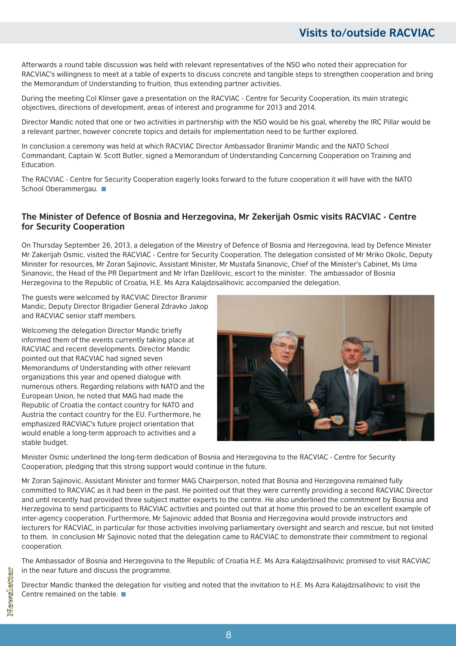Afterwards a round table discussion was held with relevant representatives of the NSO who noted their appreciation for RACVIAC's willingness to meet at a table of experts to discuss concrete and tangible steps to strengthen cooperation and bring the Memorandum of Understanding to fruition, thus extending partner activities.

During the meeting Col Klinser gave a presentation on the RACVIAC - Centre for Security Cooperation, its main strategic objectives, directions of development, areas of interest and programme for 2013 and 2014.

Director Mandic noted that one or two activities in partnership with the NSO would be his goal, whereby the IRC Pillar would be a relevant partner, however concrete topics and details for implementation need to be further explored.

In conclusion a ceremony was held at which RACVIAC Director Ambassador Branimir Mandic and the NATO School Commandant, Captain W. Scott Butler, signed a Memorandum of Understanding Concerning Cooperation on Training and Education.

The RACVIAC - Centre for Security Cooperation eagerly looks forward to the future cooperation it will have with the NATO School Oberammergau.

### The Minister of Defence of Bosnia and Herzegovina, Mr Zekerijah Osmic visits RACVIAC - Centre **for Security Cooperation**

On Thursday September 26, 2013, a delegation of the Ministry of Defence of Bosnia and Herzegovina, lead by Defence Minister Mr Zakerijah Osmic, visited the RACVIAC - Centre for Security Cooperation. The delegation consisted of Mr Mriko Okolic, Deputy Minister for resources, Mr Zoran Sajinovic, Assistant Minister, Mr Mustafa Sinanovic, Chief of the Minister's Cabinet, Ms Uma Sinanovic, the Head of the PR Department and Mr Irfan Dzelilovic, escort to the minister. The ambassador of Bosnia Herzegovina to the Republic of Croatia, H.E. Ms Azra Kalajdzisalihovic accompanied the delegation.

The guests were welcomed by RACVIAC Director Branimir Mandic, Deputy Director Brigadier General Zdravko Jakop and RACVIAC senior staff members.

Welcoming the delegation Director Mandic briefly informed them of the events currently taking place at RACVIAC and recent developments. Director Mandic pointed out that RACVIAC had signed seven Memorandums of Understanding with other relevant organizations this year and opened dialogue with numerous others. Regarding relations with NATO and the European Union, he noted that MAG had made the Republic of Croatia the contact country for NATO and Austria the contact country for the EU. Furthermore, he emphasized RACVIAC's future project orientation that would enable a long-term approach to activities and a stable budget.



Minister Osmic underlined the long-term dedication of Bosnia and Herzegovina to the RACVIAC - Centre for Security Cooperation, pledging that this strong support would continue in the future.

Mr Zoran Sajinovic, Assistant Minister and former MAG Chairperson, noted that Bosnia and Herzegovina remained fully committed to RACVIAC as it had been in the past. He pointed out that they were currently providing a second RACVIAC Director and until recently had provided three subject matter experts to the centre. He also underlined the commitment by Bosnia and Herzegovina to send participants to RACVIAC activities and pointed out that at home this proved to be an excellent example of inter-agency cooperation. Furthermore, Mr Sajinovic added that Bosnia and Herzegovina would provide instructors and lecturers for RACVIAC, in particular for those activities involving parliamentary oversight and search and rescue, but not limited to them. In conclusion Mr Sajinovic noted that the delegation came to RACVIAC to demonstrate their commitment to regional cooperation.

The Ambassador of Bosnia and Herzegovina to the Republic of Croatia H.E. Ms Azra Kalajdzisalihovic promised to visit RACVIAC in the near future and discuss the programme.

Director Mandic thanked the delegation for visiting and noted that the invitation to H.E. Ms Azra Kalajdzisalihovic to visit the Centre remained on the table.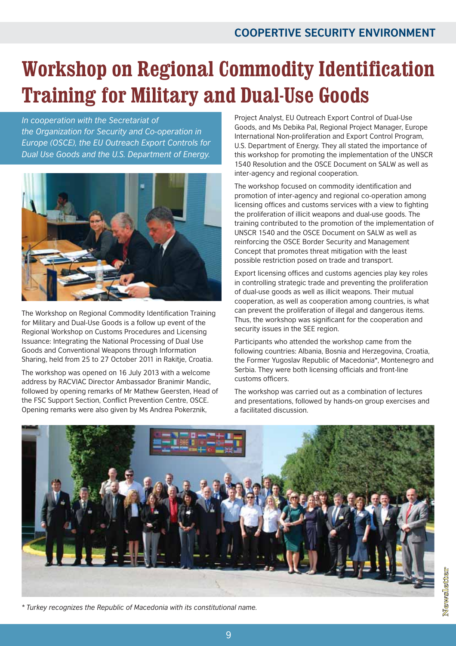### **Workshop on Regional Commodity Identification Training for Military and Dual-Use Goods**

*In cooperation with the Secretariat of the Organization for Security and Co-operation in Europe (OSCE), the EU Outreach Export Controls for Dual Use Goods and the U.S. Department of Energy.*



The Workshop on Regional Commodity Identification Training for Military and Dual-Use Goods is a follow up event of the Regional Workshop on Customs Procedures and Licensing Issuance: Integrating the National Processing of Dual Use Goods and Conventional Weapons through Information Sharing, held from 25 to 27 October 2011 in Rakitje, Croatia.

The workshop was opened on 16 July 2013 with a welcome address by RACVIAC Director Ambassador Branimir Mandic, followed by opening remarks of Mr Mathew Geersten, Head of the FSC Support Section, Conflict Prevention Centre, OSCE. Opening remarks were also given by Ms Andrea Pokerznik,

Project Analyst, EU Outreach Export Control of Dual-Use Goods, and Ms Debika Pal, Regional Project Manager, Europe International Non-proliferation and Export Control Program, U.S. Department of Energy. They all stated the importance of this workshop for promoting the implementation of the UNSCR 1540 Resolution and the OSCE Document on SALW as well as inter-agency and regional cooperation.

The workshop focused on commodity identification and promotion of inter-agency and regional co-operation among licensing offices and customs services with a view to fighting the proliferation of illicit weapons and dual-use goods. The training contributed to the promotion of the implementation of UNSCR 1540 and the OSCE Document on SALW as well as reinforcing the OSCE Border Security and Management Concept that promotes threat mitigation with the least possible restriction posed on trade and transport.

Export licensing offices and customs agencies play key roles in controlling strategic trade and preventing the proliferation of dual-use goods as well as illicit weapons. Their mutual cooperation, as well as cooperation among countries, is what can prevent the proliferation of illegal and dangerous items. Thus, the workshop was significant for the cooperation and security issues in the SEE region.

Participants who attended the workshop came from the following countries: Albania, Bosnia and Herzegovina, Croatia, the Former Yugoslav Republic of Macedonia\*, Montenegro and Serbia. They were both licensing officials and front-line customs officers.

The workshop was carried out as a combination of lectures and presentations, followed by hands-on group exercises and a facilitated discussion.

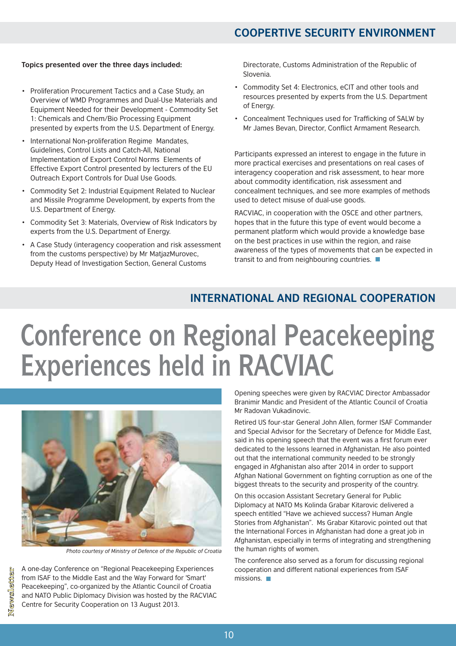### **COOPERTIVE SECURITY ENVIRONMENT**

#### **Topics presented over the three days included:**

- Proliferation Procurement Tactics and a Case Study, an Overview of WMD Programmes and Dual-Use Materials and Equipment Needed for their Development - Commodity Set 1: Chemicals and Chem/Bio Processing Equipment presented by experts from the U.S. Department of Energy.
- International Non-proliferation Regime Mandates, Guidelines, Control Lists and Catch-All, National Implementation of Export Control Norms Elements of Effective Export Control presented by lecturers of the EU Outreach Export Controls for Dual Use Goods. •
- Commodity Set 2: Industrial Equipment Related to Nuclear and Missile Programme Development, by experts from the U.S. Department of Energy.
- Commodity Set 3: Materials, Overview of Risk Indicators by experts from the U.S. Department of Energy.
- A Case Study (interagency cooperation and risk assessment from the customs perspective) by Mr MatjazMurovec, Deputy Head of Investigation Section, General Customs

Directorate, Customs Administration of the Republic of Slovenia.

- Commodity Set 4: Electronics, eCIT and other tools and resources presented by experts from the U.S. Department of Energy.
- Concealment Techniques used for Trafficking of SALW by •Mr James Bevan, Director, Conflict Armament Research.

Participants expressed an interest to engage in the future in more practical exercises and presentations on real cases of interagency cooperation and risk assessment, to hear more about commodity identification, risk assessment and concealment techniques, and see more examples of methods used to detect misuse of dual-use goods.

RACVIAC, in cooperation with the OSCE and other partners, hopes that in the future this type of event would become a permanent platform which would provide a knowledge base on the best practices in use within the region, and raise awareness of the types of movements that can be expected in transit to and from neighbouring countries.

### **INTERNATIONAL AND REGIONAL COOPERATION**

## **Conference on Regional Peacekeeping Experiences held in RACVIAC**



*Photo courtesy of Ministry of Defence of the Republic of Croatia*

A one-day Conference on "Regional Peacekeeping Experiences from ISAF to the Middle East and the Way Forward for 'Smart' Peacekeeping", co-organized by the Atlantic Council of Croatia and NATO Public Diplomacy Division was hosted by the RACVIAC Centre for Security Cooperation on 13 August 2013.

Opening speeches were given by RACVIAC Director Ambassador Branimir Mandic and President of the Atlantic Council of Croatia Mr Radovan Vukadinovic.

Retired US four-star General John Allen, former ISAF Commander and Special Advisor for the Secretary of Defence for Middle East, said in his opening speech that the event was a first forum ever dedicated to the lessons learned in Afghanistan. He also pointed out that the international community needed to be strongly engaged in Afghanistan also after 2014 in order to support Afghan National Government on fighting corruption as one of the biggest threats to the security and prosperity of the country.

On this occasion Assistant Secretary General for Public Diplomacy at NATO Ms Kolinda Grabar Kitarovic delivered a speech entitled "Have we achieved success? Human Angle Stories from Afghanistan". Ms Grabar Kitarovic pointed out that the International Forces in Afghanistan had done a great job in Afghanistan, especially in terms of integrating and strengthening the human rights of women.

The conference also served as a forum for discussing regional cooperation and different national experiences from ISAF missions.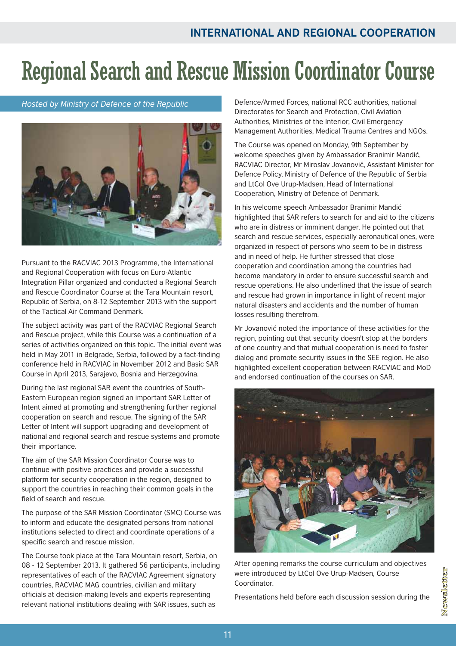### Regional Search and Rescue Mission Coordinator Course

*Hosted by Ministry of Defence of the Republic*



Pursuant to the RACVIAC 2013 Programme, the International and Regional Cooperation with focus on Euro-Atlantic Integration Pillar organized and conducted a Regional Search and Rescue Coordinator Course at the Tara Mountain resort, Republic of Serbia, on 8-12 September 2013 with the support of the Tactical Air Command Denmark.

The subject activity was part of the RACVIAC Regional Search and Rescue project, while this Course was a continuation of a series of activities organized on this topic. The initial event was held in May 2011 in Belgrade, Serbia, followed by a fact-finding conference held in RACVIAC in November 2012 and Basic SAR Course in April 2013, Sarajevo, Bosnia and Herzegovina.

During the last regional SAR event the countries of South-Eastern European region signed an important SAR Letter of Intent aimed at promoting and strengthening further regional cooperation on search and rescue. The signing of the SAR Letter of Intent will support upgrading and development of national and regional search and rescue systems and promote their importance.

The aim of the SAR Mission Coordinator Course was to continue with positive practices and provide a successful platform for security cooperation in the region, designed to support the countries in reaching their common goals in the field of search and rescue.

The purpose of the SAR Mission Coordinator (SMC) Course was to inform and educate the designated persons from national institutions selected to direct and coordinate operations of a specific search and rescue mission.

The Course took place at the Tara Mountain resort, Serbia, on 08 - 12 September 2013. It gathered 56 participants, including representatives of each of the RACVIAC Agreement signatory countries, RACVIAC MAG countries, civilian and military officials at decision-making levels and experts representing relevant national institutions dealing with SAR issues, such as

Defence/Armed Forces, national RCC authorities, national Directorates for Search and Protection, Civil Aviation Authorities, Ministries of the Interior, Civil Emergency Management Authorities, Medical Trauma Centres and NGOs.

The Course was opened on Monday, 9th September by welcome speeches given by Ambassador Branimir Mandić, RACVIAC Director, Mr Miroslav Jovanović, Assistant Minister for Defence Policy, Ministry of Defence of the Republic of Serbia and LtCol Ove Urup-Madsen, Head of International Cooperation, Ministry of Defence of Denmark.

In his welcome speech Ambassador Branimir Mandić highlighted that SAR refers to search for and aid to the citizens who are in distress or imminent danger. He pointed out that search and rescue services, especially aeronautical ones, were organized in respect of persons who seem to be in distress and in need of help. He further stressed that close cooperation and coordination among the countries had become mandatory in order to ensure successful search and rescue operations. He also underlined that the issue of search and rescue had grown in importance in light of recent major natural disasters and accidents and the number of human losses resulting therefrom.

Mr Jovanović noted the importance of these activities for the region, pointing out that security doesn't stop at the borders of one country and that mutual cooperation is need to foster dialog and promote security issues in the SEE region. He also highlighted excellent cooperation between RACVIAC and MoD and endorsed continuation of the courses on SAR.



After opening remarks the course curriculum and objectives were introduced by LtCol Ove Urup-Madsen, Course Coordinator.

Presentations held before each discussion session during the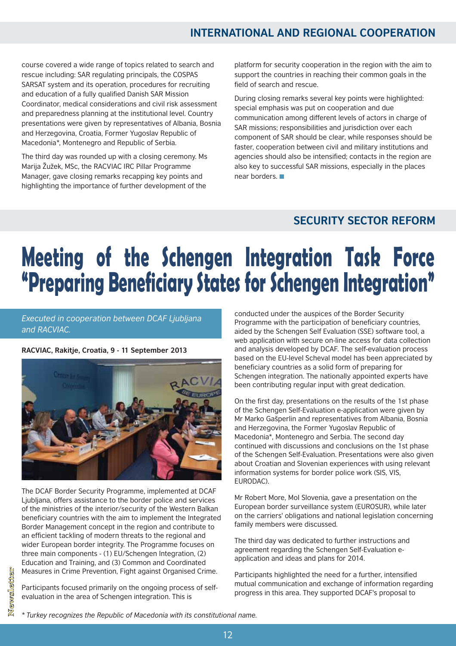### **INTERNATIONAL AND REGIONAL COOPERATION**

course covered a wide range of topics related to search and rescue including: SAR regulating principals, the COSPAS SARSAT system and its operation, procedures for recruiting and education of a fully qualified Danish SAR Mission Coordinator, medical considerations and civil risk assessment and preparedness planning at the institutional level. Country presentations were given by representatives of Albania, Bosnia and Herzegovina, Croatia, Former Yugoslav Republic of Macedonia\*, Montenegro and Republic of Serbia.

The third day was rounded up with a closing ceremony. Ms Marija Žužek, MSc, the RACVIAC IRC Pillar Programme Manager, gave closing remarks recapping key points and highlighting the importance of further development of the

platform for security cooperation in the region with the aim to support the countries in reaching their common goals in the field of search and rescue.

During closing remarks several key points were highlighted: special emphasis was put on cooperation and due communication among different levels of actors in charge of SAR missions; responsibilities and jurisdiction over each component of SAR should be clear, while responses should be faster, cooperation between civil and military institutions and agencies should also be intensified; contacts in the region are also key to successful SAR missions, especially in the places near borders.

### **SECURITY SECTOR REFORM**

# **Manaring Donofician: Chatar for Cohonnon Integration" "Preparing Beneficiary States for Schengen Integration"**

*Executed in cooperation between DCAF Ljubljana and RACVIAC.*

#### **RACVIAC, Rakitje, Croatia, 9 - 11 September 2013**



The DCAF Border Security Programme, implemented at DCAF Ljubljana, offers assistance to the border police and services of the ministries of the interior/security of the Western Balkan beneficiary countries with the aim to implement the Integrated Border Management concept in the region and contribute to an efficient tackling of modern threats to the regional and wider European border integrity. The Programme focuses on three main components - (1) EU/Schengen Integration, (2) Education and Training, and (3) Common and Coordinated Measures in Crime Prevention, Fight against Organised Crime.

Participants focused primarily on the ongoing process of selfevaluation in the area of Schengen integration. This is

Newsletter

conducted under the auspices of the Border Security Programme with the participation of beneficiary countries, aided by the Schengen Self Evaluation (SSE) software tool, a web application with secure on-line access for data collection and analysis developed by DCAF. The self-evaluation process based on the EU-level Scheval model has been appreciated by beneficiary countries as a solid form of preparing for Schengen integration. The nationally appointed experts have been contributing regular input with great dedication.

On the first day, presentations on the results of the 1st phase of the Schengen Self-Evaluation e-application were given by Mr Marko Gašperlin and representatives from Albania, Bosnia and Herzegovina, the Former Yugoslav Republic of Macedonia\*, Montenegro and Serbia. The second day continued with discussions and conclusions on the 1st phase of the Schengen Self-Evaluation. Presentations were also given about Croatian and Slovenian experiences with using relevant information systems for border police work (SIS, VIS, EURODAC).

Mr Robert More, MoI Slovenia, gave a presentation on the European border surveillance system (EUROSUR), while later on the carriers' obligations and national legislation concerning family members were discussed.

The third day was dedicated to further instructions and agreement regarding the Schengen Self-Evaluation eapplication and ideas and plans for 2014.

Participants highlighted the need for a further, intensified mutual communication and exchange of information regarding progress in this area. They supported DCAF's proposal to

*\* Turkey recognizes the Republic of Macedonia with its constitutional name.*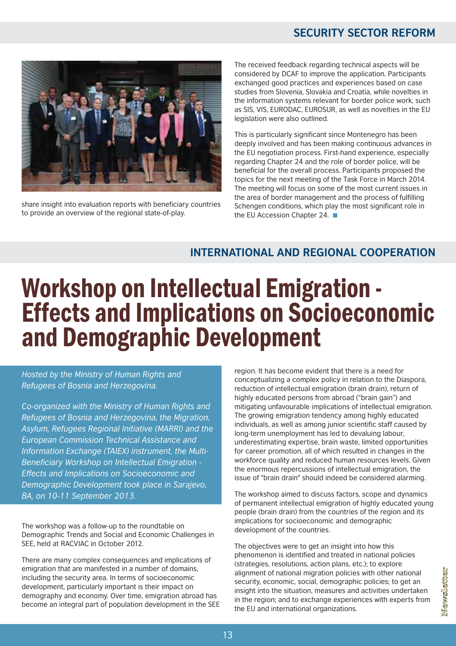### **SECURITY SECTOR REFORM**



share insight into evaluation reports with beneficiary countries to provide an overview of the regional state-of-play.

The received feedback regarding technical aspects will be considered by DCAF to improve the application. Participants exchanged good practices and experiences based on case studies from Slovenia, Slovakia and Croatia, while novelties in the information systems relevant for border police work, such as SIS, VIS, EURODAC, EUROSUR, as well as novelties in the EU legislation were also outlined.

This is particularly significant since Montenegro has been deeply involved and has been making continuous advances in the EU negotiation process. First-hand experience, especially regarding Chapter 24 and the role of border police, will be beneficial for the overall process. Participants proposed the topics for the next meeting of the Task Force in March 2014. The meeting will focus on some of the most current issues in the area of border management and the process of fulfilling Schengen conditions, which play the most significant role in the EU Accession Chapter 24. ■

### **INTERNATIONAL AND REGIONAL COOPERATION**

### Workshop on Intellectual Emigration - Effects and Implications on Socioeconomic and Demographic Development

*Hosted by the Ministry of Human Rights and Refugees of Bosnia and Herzegovina .*

*Co-organized with the Ministry of Human Rights and Refugees of Bosnia and Herzegovina, the Migration, Asylum, Refugees Regional Initiative (MARRI) and the European Commission Technical Assistance and Information Exchange (TAIEX) instrument, the Multi-Beneficiary Workshop on Intellectual Emigration - Effects and Implications on Socioeconomic and Demographic Development took place in Sarajevo, BA, on 10-11 September 2013.*

The workshop was a follow-up to the roundtable on Demographic Trends and Social and Economic Challenges in SEE, held at RACVIAC in October 2012.

There are many complex consequences and implications of emigration that are manifested in a number of domains, including the security area. In terms of socioeconomic development, particularly important is their impact on demography and economy. Over time, emigration abroad has become an integral part of population development in the SEE region. It has become evident that there is a need for conceptualizing a complex policy in relation to the Diaspora, reduction of intellectual emigration (brain drain), return of highly educated persons from abroad ("brain gain") and mitigating unfavourable implications of intellectual emigration. The growing emigration tendency among highly educated individuals, as well as among junior scientific staff caused by long-term unemployment has led to devaluing labour, underestimating expertise, brain waste, limited opportunities for career promotion, all of which resulted in changes in the workforce quality and reduced human resources levels. Given the enormous repercussions of intellectual emigration, the issue of "brain drain" should indeed be considered alarming.

The workshop aimed to discuss factors, scope and dynamics of permanent intellectual emigration of highly educated young people (brain drain) from the countries of the region and its implications for socioeconomic and demographic development of the countries.

The objectives were to get an insight into how this phenomenon is identified and treated in national policies (strategies, resolutions, action plans, etc.); to explore alignment of national migration policies with other national security, economic, social, demographic policies; to get an insight into the situation, measures and activities undertaken in the region; and to exchange experiences with experts from the EU and international organizations.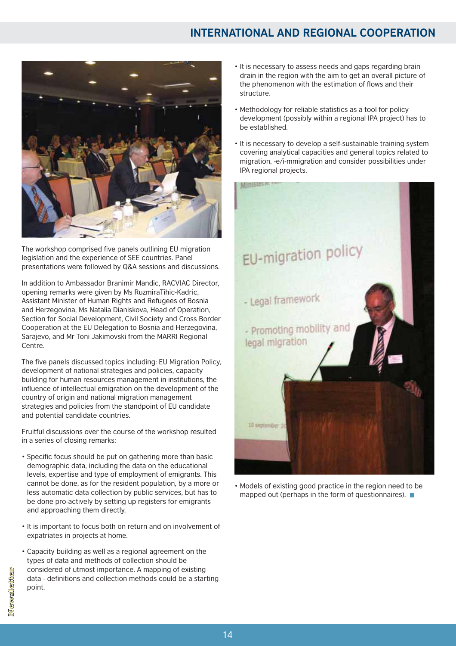### **INTERNATIONAL AND REGIONAL COOPERATION**



The workshop comprised five panels outlining EU migration legislation and the experience of SEE countries. Panel presentations were followed by Q&A sessions and discussions.

In addition to Ambassador Branimir Mandic, RACVIAC Director, opening remarks were given by Ms RuzmiraTihic-Kadric, Assistant Minister of Human Rights and Refugees of Bosnia and Herzegovina, Ms Natalia Dianiskova, Head of Operation, Section for Social Development, Civil Society and Cross Border Cooperation at the EU Delegation to Bosnia and Herzegovina, Sarajevo, and Mr Toni Jakimovski from the MARRI Regional Centre.

The five panels discussed topics including: EU Migration Policy, development of national strategies and policies, capacity building for human resources management in institutions, the influence of intellectual emigration on the development of the country of origin and national migration management strategies and policies from the standpoint of EU candidate and potential candidate countries.

Fruitful discussions over the course of the workshop resulted in a series of closing remarks:

- Specific focus should be put on gathering more than basic demographic data, including the data on the educational levels, expertise and type of employment of emigrants. This cannot be done, as for the resident population, by a more or less automatic data collection by public services, but has to be done pro-actively by setting up registers for emigrants and approaching them directly.
- It is important to focus both on return and on involvement of expatriates in projects at home.
- Capacity building as well as a regional agreement on the types of data and methods of collection should be considered of utmost importance. A mapping of existing data - definitions and collection methods could be a starting point.
- It is necessary to assess needs and gaps regarding brain drain in the region with the aim to get an overall picture of the phenomenon with the estimation of flows and their structure.
- Methodology for reliable statistics as a tool for policy development (possibly within a regional IPA project) has to be established.
- It is necessary to develop a self-sustainable training system covering analytical capacities and general topics related to migration, -e/i-mmigration and consider possibilities under IPA regional projects.



• Models of existing good practice in the region need to be mapped out (perhaps in the form of questionnaires).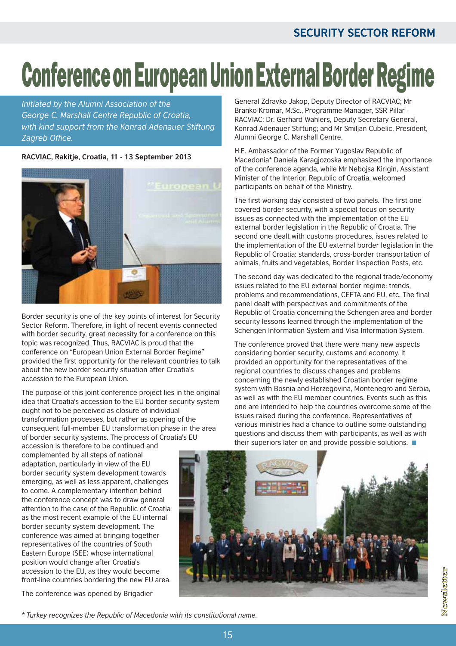# **Conference on European Union External Border Regime**

*Initiated by the Alumni Association of the George C. Marshall Centre Republic of Croatia, with kind support from the Konrad Adenauer Stiftung Zagreb Office.*

### RACVIAC, Rakitje, Croatia, 11 - 13 September 2013



Border security is one of the key points of interest for Security Sector Reform. Therefore, in light of recent events connected with border security, great necessity for a conference on this topic was recognized. Thus, RACVIAC is proud that the conference on "European Union External Border Regime" provided the first opportunity for the relevant countries to talk about the new border security situation after Croatia's accession to the European Union.

The purpose of this joint conference project lies in the original idea that Croatia's accession to the EU border security system ought not to be perceived as closure of individual transformation processes, but rather as opening of the consequent full-member EU transformation phase in the area of border security systems. The process of Croatia's EU

accession is therefore to be continued and complemented by all steps of national adaptation, particularly in view of the EU border security system development towards emerging, as well as less apparent, challenges to come. A complementary intention behind the conference concept was to draw general attention to the case of the Republic of Croatia as the most recent example of the EU internal border security system development. The conference was aimed at bringing together representatives of the countries of South Eastern Europe (SEE) whose international position would change after Croatia's accession to the EU, as they would become front-line countries bordering the new EU area.

The conference was opened by Brigadier

General Zdravko Jakop, Deputy Director of RACVIAC; Mr Branko Kromar, M.Sc., Programme Manager, SSR Pillar - RACVIAC; Dr. Gerhard Wahlers, Deputy Secretary General, Konrad Adenauer Stiftung; and Mr Smiljan Cubelic, President, Alumni George C. Marshall Centre.

H.E. Ambassador of the Former Yugoslav Republic of Macedonia\* Daniela Karagjozoska emphasized the importance of the conference agenda, while Mr Nebojsa Kirigin, Assistant Minister of the Interior, Republic of Croatia, welcomed participants on behalf of the Ministry.

The first working day consisted of two panels. The first one covered border security, with a special focus on security issues as connected with the implementation of the EU external border legislation in the Republic of Croatia. The second one dealt with customs procedures, issues related to the implementation of the EU external border legislation in the Republic of Croatia: standards, cross-border transportation of animals, fruits and vegetables, Border Inspection Posts, etc.

The second day was dedicated to the regional trade/economy issues related to the EU external border regime: trends, problems and recommendations, CEFTA and EU, etc. The final panel dealt with perspectives and commitments of the Republic of Croatia concerning the Schengen area and border security lessons learned through the implementation of the Schengen Information System and Visa Information System.

The conference proved that there were many new aspects considering border security, customs and economy. It provided an opportunity for the representatives of the regional countries to discuss changes and problems concerning the newly established Croatian border regime system with Bosnia and Herzegovina, Montenegro and Serbia, as well as with the EU member countries. Events such as this one are intended to help the countries overcome some of the issues raised during the conference. Representatives of various ministries had a chance to outline some outstanding questions and discuss them with participants, as well as with their superiors later on and provide possible solutions.



*\* Turkey recognizes the Republic of Macedonia with its constitutional name.*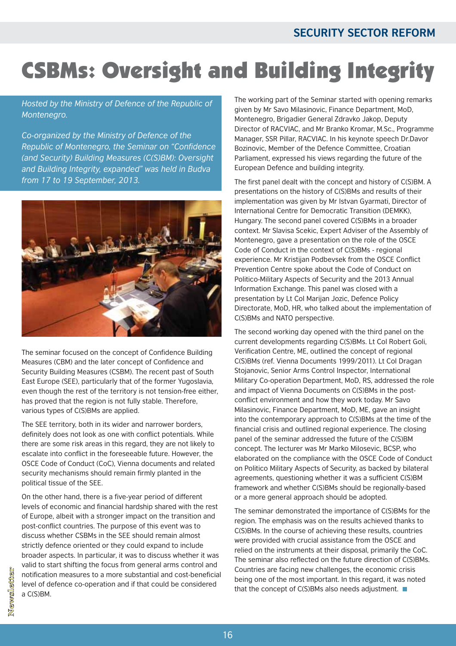### CSBMs: Oversight and Building Integrity

### *Hosted by the Ministry of Defence of the Republic of Montenegro .*

*Co-organized by the Ministry of Defence of the Republic of Montenegro, the Seminar on "Confidence (and Security) Building Measures (C(S)BM): Oversight and Building Integrity, expanded" was held in Budva from 17 to 19 September, 2013.*



The seminar focused on the concept of Confidence Building Measures (CBM) and the later concept of Confidence and Security Building Measures (CSBM). The recent past of South East Europe (SEE), particularly that of the former Yugoslavia, even though the rest of the territory is not tension-free either, has proved that the region is not fully stable. Therefore, various types of C(S)BMs are applied.

The SEE territory, both in its wider and narrower borders, definitely does not look as one with conflict potentials. While there are some risk areas in this regard, they are not likely to escalate into conflict in the foreseeable future. However, the OSCE Code of Conduct (CoC), Vienna documents and related security mechanisms should remain firmly planted in the political tissue of the SEE.

On the other hand, there is a five-year period of different levels of economic and financial hardship shared with the rest of Europe, albeit with a stronger impact on the transition and post-conflict countries. The purpose of this event was to discuss whether CSBMs in the SEE should remain almost strictly defence oriented or they could expand to include broader aspects. In particular, it was to discuss whether it was valid to start shifting the focus from general arms control and notification measures to a more substantial and cost-beneficial level of defence co-operation and if that could be considered a C(S)BM.

The working part of the Seminar started with opening remarks given by Mr Savo Milasinovic, Finance Department, MoD, Montenegro, Brigadier General Zdravko Jakop, Deputy Director of RACVIAC, and Mr Branko Kromar, M.Sc., Programme Manager, SSR Pillar, RACVIAC. In his keynote speech Dr.Davor Bozinovic, Member of the Defence Committee, Croatian Parliament, expressed his views regarding the future of the European Defence and building integrity.

The first panel dealt with the concept and history of C(S)BM. A presentations on the history of C(S)BMs and results of their implementation was given by Mr Istvan Gyarmati, Director of International Centre for Democratic Transition (DEMKK), Hungary. The second panel covered C(S)BMs in a broader context. Mr Slavisa Scekic, Expert Adviser of the Assembly of Montenegro, gave a presentation on the role of the OSCE Code of Conduct in the context of C(S)BMs - regional experience. Mr Kristijan Podbevsek from the OSCE Conflict Prevention Centre spoke about the Code of Conduct on Politico-Military Aspects of Security and the 2013 Annual Information Exchange. This panel was closed with a presentation by Lt Col Marijan Jozic, Defence Policy Directorate, MoD, HR, who talked about the implementation of C(S)BMs and NATO perspective.

The second working day opened with the third panel on the current developments regarding C(S)BMs. Lt Col Robert Goli, Verification Centre, ME, outlined the concept of regional C(S)BMs (ref. Vienna Documents 1999/2011). Lt Col Dragan Stojanovic, Senior Arms Control Inspector, International Military Co-operation Department, MoD, RS, addressed the role and impact of Vienna Documents on C(S)BMs in the postconflict environment and how they work today. Mr Savo Milasinovic, Finance Department, MoD, ME, gave an insight into the contemporary approach to C(S)BMs at the time of the financial crisis and outlined regional experience. The closing panel of the seminar addressed the future of the C(S)BM concept. The lecturer was Mr Marko Milosevic, BCSP, who elaborated on the compliance with the OSCE Code of Conduct on Politico Military Aspects of Security, as backed by bilateral agreements, questioning whether it was a sufficient C(S)BM framework and whether C(S)BMs should be regionally-based or a more general approach should be adopted.

The seminar demonstrated the importance of C(S)BMs for the region. The emphasis was on the results achieved thanks to C(S)BMs. In the course of achieving these results, countries were provided with crucial assistance from the OSCE and relied on the instruments at their disposal, primarily the CoC. The seminar also reflected on the future direction of C(S)BMs. Countries are facing new challenges, the economic crisis being one of the most important. In this regard, it was noted that the concept of C(S)BMs also needs adjustment.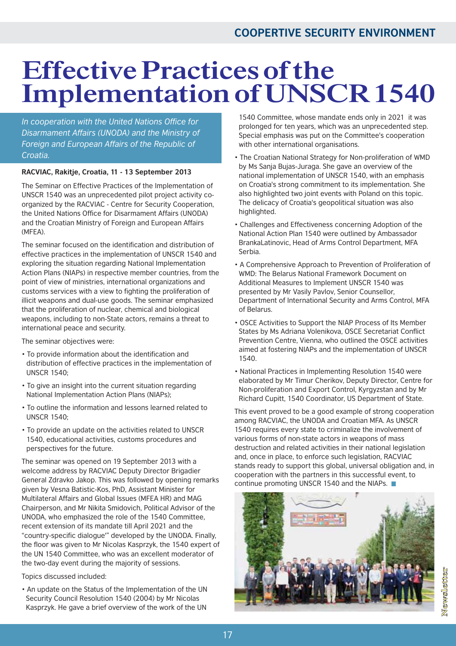### **Effective Practices of the Implementation ofUNSCR 1540**

*In cooperation with the United Nations Office for Disarmament Affairs (UNODA) and the Ministry of Foreign and European Affairs of the Republic of Croatia.*

### RACVIAC, Rakitje, Croatia, 11 - 13 September 2013

The Seminar on Effective Practices of the Implementation of UNSCR 1540 was an unprecedented pilot project activity coorganized by the RACVIAC - Centre for Security Cooperation, the United Nations Office for Disarmament Affairs (UNODA) and the Croatian Ministry of Foreign and European Affairs (MFEA).

The seminar focused on the identification and distribution of effective practices in the implementation of UNSCR 1540 and exploring the situation regarding National Implementation Action Plans (NIAPs) in respective member countries, from the point of view of ministries, international organizations and customs services with a view to fighting the proliferation of illicit weapons and dual-use goods. The seminar emphasized that the proliferation of nuclear, chemical and biological weapons, including to non-State actors, remains a threat to international peace and security.

The seminar objectives were:

- To provide information about the identification and distribution of effective practices in the implementation of UNSCR 1540;
- To give an insight into the current situation regarding National Implementation Action Plans (NIAPs);
- To outline the information and lessons learned related to UNSCR 1540;
- To provide an update on the activities related to UNSCR 1540, educational activities, customs procedures and perspectives for the future.

The seminar was opened on 19 September 2013 with a welcome address by RACVIAC Deputy Director Brigadier General Zdravko Jakop. This was followed by opening remarks given by Vesna Batistic-Kos, PhD, Assistant Minister for Multilateral Affairs and Global Issues (MFEA HR) and MAG Chairperson, and Mr Nikita Smidovich, Political Advisor of the UNODA, who emphasized the role of the 1540 Committee, recent extension of its mandate till April 2021 and the "country-specific dialogue'" developed by the UNODA. Finally, the floor was given to Mr Nicolas Kasprzyk, the 1540 expert of the UN 1540 Committee, who was an excellent moderator of the two-day event during the majority of sessions.

Topics discussed included:

• An update on the Status of the Implementation of the UN Security Council Resolution 1540 (2004) by Mr Nicolas Kasprzyk. He gave a brief overview of the work of the UN 1540 Committee, whose mandate ends only in 2021 it was prolonged for ten years, which was an unprecedented step. Special emphasis was put on the Committee's cooperation with other international organisations.

- The Croatian National Strategy for Non-proliferation of WMD by Ms Sanja Bujas-Juraga. She gave an overview of the national implementation of UNSCR 1540, with an emphasis on Croatia's strong commitment to its implementation. She also highlighted two joint events with Poland on this topic. The delicacy of Croatia's geopolitical situation was also highlighted.
- Challenges and Effectiveness concerning Adoption of the National Action Plan 1540 were outlined by Ambassador BrankaLatinovic, Head of Arms Control Department, MFA Serbia.
- A Comprehensive Approach to Prevention of Proliferation of WMD: The Belarus National Framework Document on Additional Measures to Implement UNSCR 1540 was presented by Mr Vasily Pavlov, Senior Counsellor, Department of International Security and Arms Control, MFA of Belarus.
- OSCE Activities to Support the NIAP Process of Its Member States by Ms Adriana Volenikova, OSCE Secretariat Conflict Prevention Centre, Vienna, who outlined the OSCE activities aimed at fostering NIAPs and the implementation of UNSCR 1540.
- National Practices in Implementing Resolution 1540 were elaborated by Mr Timur Cherikov, Deputy Director, Centre for Non-proliferation and Export Control, Kyrgyzstan and by Mr Richard Cupitt, 1540 Coordinator, US Department of State.

This event proved to be a good example of strong cooperation among RACVIAC, the UNODA and Croatian MFA. As UNSCR 1540 requires every state to criminalize the involvement of various forms of non-state actors in weapons of mass destruction and related activities in their national legislation and, once in place, to enforce such legislation, RACVIAC stands ready to support this global, universal obligation and, in cooperation with the partners in this successful event, to continue promoting UNSCR 1540 and the NIAPs.

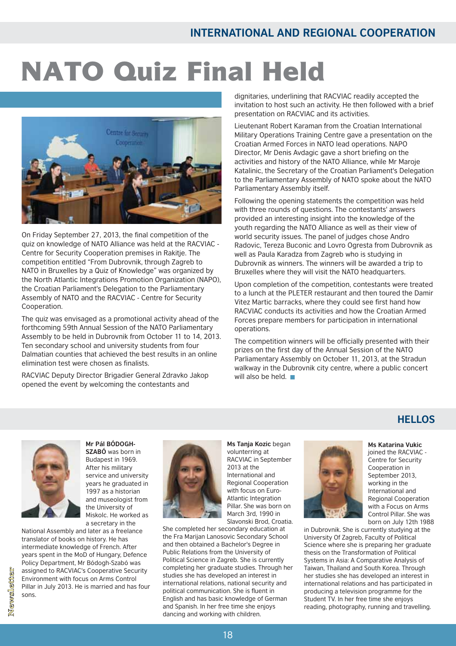# NATO Quiz Final Held



On Friday September 27, 2013, the final competition of the quiz on knowledge of NATO Alliance was held at the RACVIAC -Centre for Security Cooperation premises in Rakitje. The competition entitled "From Dubrovnik, through Zagreb to NATO in Bruxelles by a Quiz of Knowledge" was organized by the North Atlantic Integrations Promotion Organization (NAPO), the Croatian Parliament's Delegation to the Parliamentary Assembly of NATO and the RACVIAC - Centre for Security Cooperation.

The quiz was envisaged as a promotional activity ahead of the forthcoming 59th Annual Session of the NATO Parliamentary Assembly to be held in Dubrovnik from October 11 to 14, 2013. Ten secondary school and university students from four Dalmatian counties that achieved the best results in an online elimination test were chosen as finalists.

RACVIAC Deputy Director Brigadier General Zdravko Jakop opened the event by welcoming the contestants and

dignitaries, underlining that RACVIAC readily accepted the invitation to host such an activity. He then followed with a brief presentation on RACVIAC and its activities.

Lieutenant Robert Karaman from the Croatian International Military Operations Training Centre gave a presentation on the Croatian Armed Forces in NATO lead operations. NAPO Director, Mr Denis Avdagic gave a short briefing on the activities and history of the NATO Alliance, while Mr Maroje Katalinic, the Secretary of the Croatian Parliament's Delegation to the Parliamentary Assembly of NATO spoke about the NATO Parliamentary Assembly itself.

Following the opening statements the competition was held with three rounds of questions. The contestants' answers provided an interesting insight into the knowledge of the youth regarding the NATO Alliance as well as their view of world security issues. The panel of judges chose Andro Radovic, Tereza Buconic and Lovro Ogresta from Dubrovnik as well as Paula Karadza from Zagreb who is studying in Dubrovnik as winners. The winners will be awarded a trip to Bruxelles where they will visit the NATO headquarters.

Upon completion of the competition, contestants were treated to a lunch at the PLETER restaurant and then toured the Damir Vitez Martic barracks, where they could see first hand how RACVIAC conducts its activities and how the Croatian Armed Forces prepare members for participation in international operations.

The competition winners will be officially presented with their prizes on the first day of the Annual Session of the NATO Parliamentary Assembly on October 11, 2013, at the Stradun walkway in the Dubrovnik city centre, where a public concert will also be held.

### **HELLOS**



**Mr Pál BÓDOGH-SZABÓ** was born in Budapest in 1969. After his military service and university years he graduated in 1997 as a historian and museologist from the University of Miskolc. He worked as

a secretary in the National Assembly and later as a freelance translator of books on history. He has

intermediate knowledge of French. After years spent in the MoD of Hungary, Defence Policy Department, Mr Bódogh-Szabó was assigned to RACVIAC's Cooperative Security Environment with focus on Arms Control Pillar in July 2013. He is married and has four sons.



**Ms Tanja Kozic** began volunterring at RACVIAC in September 2013 at the International and Regional Cooperation with focus on Euro-Atlantic Integration Pillar. She was born on March 3rd, 1990 in Slavonski Brod, Croatia.

She completed her secondary education at the Fra Marijan Lanosovic Secondary School and then obtained a Bachelor's Degree in Public Relations from the University of Political Science in Zagreb. She is currently completing her graduate studies. Through her studies she has developed an interest in international relations, national security and political communication. She is fluent in English and has basic knowledge of German and Spanish. In her free time she enjoys dancing and working with children.



**Ms Katarina Vukic** joined the RACVIAC -Centre for Security Cooperation in September 2013, working in the International and Regional Cooperation with a Focus on Arms Control Pillar. She was born on July 12th 1988

in Dubrovnik. She is currently studying at the University Of Zagreb, Faculty of Political Science where she is preparing her graduate thesis on the Transformation of Political Systems in Asia: A Comparative Analysis of Taiwan, Thailand and South Korea. Through her studies she has developed an interest in international relations and has participated in producing a television programme for the Student TV. In her free time she enjoys reading, photography, running and travelling.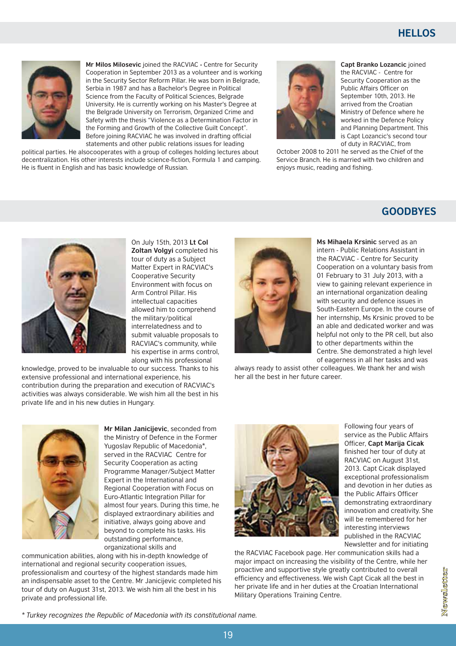

**Mr Milos Milosevic** joined the RACVIAC - Centre for Security Cooperation in September 2013 as a volunteer and is working in the Security Sector Reform Pillar. He was born in Belgrade, Serbia in 1987 and has a Bachelor's Degree in Political Science from the Faculty of Political Sciences, Belgrade University. He is currently working on his Master's Degree at the Belgrade University on Terrorism, Organized Crime and Safety with the thesis "Violence as a Determination Factor in the Forming and Growth of the Collective Guilt Concept". Before joining RACVIAC he was involved in drafting official

statements and other public relations issues for leading political parties. He alsocooperates with a group of colleges holding lectures about decentralization. His other interests include science-fiction, Formula 1 and camping. He is fluent in English and has basic knowledge of Russian.



**Capt Branko Lozancic** joined the RACVIAC - Centre for Security Cooperation as the Public Affairs Officer on September 10th, 2013. He arrived from the Croatian Ministry of Defence where he worked in the Defence Policy and Planning Department. This is Capt Lozancic's second tour of duty in RACVIAC, from

October 2008 to 2011 he served as the Chief of the Service Branch. He is married with two children and enjoys music, reading and fishing.

### **GOODBYES**



On July 15th, 2013 **Lt Col Zoltan Volgyi** completed his tour of duty as a Subject Matter Expert in RACVIAC's Cooperative Security Environment with focus on Arm Control Pillar. His intellectual capacities allowed him to comprehend the military/political interrelatedness and to submit valuable proposals to RACVIAC's community, while his expertise in arms control, along with his professional

knowledge, proved to be invaluable to our success. Thanks to his extensive professional and international experience, his contribution during the preparation and execution of RACVIAC's activities was always considerable. We wish him all the best in his private life and in his new duties in Hungary.



**Ms Mihaela Krsinic** served as an intern - Public Relations Assistant in the RACVIAC - Centre for Security Cooperation on a voluntary basis from 01 February to 31 July 2013, with a view to gaining relevant experience in an international organization dealing with security and defence issues in South-Eastern Europe. In the course of her internship, Ms Krsinic proved to be an able and dedicated worker and was helpful not only to the PR cell, but also to other departments within the Centre. She demonstrated a high level of eagerness in all her tasks and was

always ready to assist other colleagues. We thank her and wish her all the best in her future career.



**Mr Milan Janicijevic**, seconded from the Ministry of Defence in the Former Yugoslav Republic of Macedonia\*, served in the RACVIAC Centre for Security Cooperation as acting Programme Manager/Subject Matter Expert in the International and Regional Cooperation with Focus on Euro-Atlantic Integration Pillar for almost four years. During this time, he displayed extraordinary abilities and initiative, always going above and beyond to complete his tasks. His outstanding performance, organizational skills and

communication abilities, along with his in-depth knowledge of international and regional security cooperation issues, professionalism and courtesy of the highest standards made him an indispensable asset to the Centre. Mr Janicijevic completed his tour of duty on August 31st, 2013. We wish him all the best in his private and professional life.



Following four years of service as the Public Affairs finished her tour of duty at RACVIAC on August 31st, 2013. Capt Cicak displayed exceptional professionalism and devotion in her duties as the Public Affairs Officer demonstrating extraordinary innovation and creativity. She will be remembered for her interesting interviews published in the RACVIAC Newsletter and for initiating Officer, **Capt Marija Cicak**

the RACVIAC Facebook page. Her communication skills had a major impact on increasing the visibility of the Centre, while her proactive and supportive style greatly contributed to overall efficiency and effectiveness. We wish Capt Cicak all the best in her private life and in her duties at the Croatian International Military Operations Training Centre.

Newsletter

*\* Turkey recognizes the Republic of Macedonia with its constitutional name.*